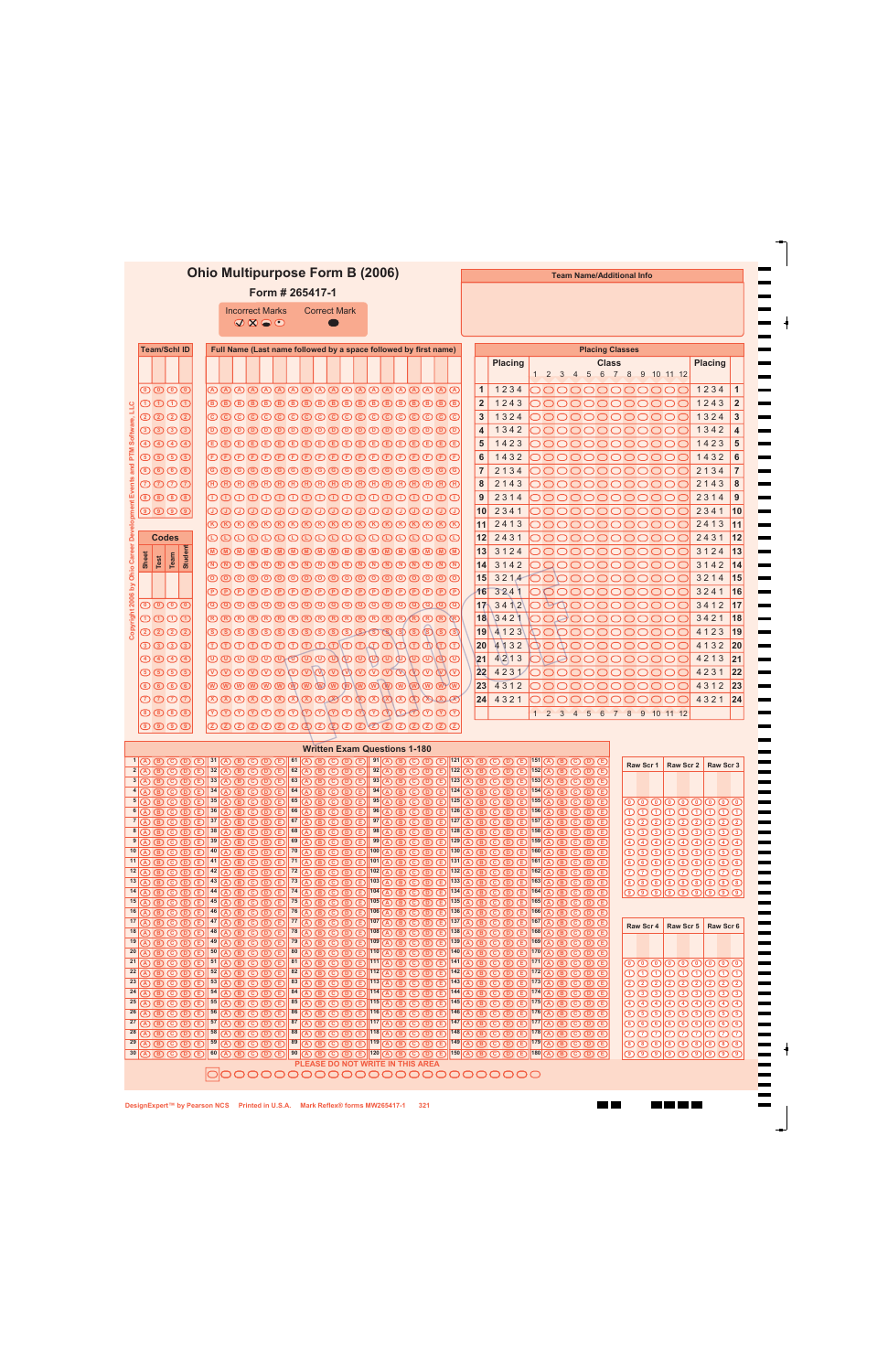## **Ohio Multipurpose Form B (2006)**

**Form # 265417-1**

| <b>Incorrect Marks</b>          |  |
|---------------------------------|--|
| $\mathcal{A}\otimes\mathcal{A}$ |  |

Correct Mark

 $\bullet$ 

**Team Name/Additional Info**

**THE** 

**THE REAL** 

 $\blacksquare$ 

| <b>Team/Schl ID</b>                                                                                                                          | Full Name (Last name followed by a space followed by first name)<br><b>Placing Classes</b>                                                                                                                                                                                                                                                                                                                                                                                                                                                                                                                                                                        |                                                                                                    |                                                                                       |                                                                                                                                                                                                                                                                                                                                                                                                                                                                                                                                                                                                                                                                                                                       |                       |
|----------------------------------------------------------------------------------------------------------------------------------------------|-------------------------------------------------------------------------------------------------------------------------------------------------------------------------------------------------------------------------------------------------------------------------------------------------------------------------------------------------------------------------------------------------------------------------------------------------------------------------------------------------------------------------------------------------------------------------------------------------------------------------------------------------------------------|----------------------------------------------------------------------------------------------------|---------------------------------------------------------------------------------------|-----------------------------------------------------------------------------------------------------------------------------------------------------------------------------------------------------------------------------------------------------------------------------------------------------------------------------------------------------------------------------------------------------------------------------------------------------------------------------------------------------------------------------------------------------------------------------------------------------------------------------------------------------------------------------------------------------------------------|-----------------------|
|                                                                                                                                              |                                                                                                                                                                                                                                                                                                                                                                                                                                                                                                                                                                                                                                                                   |                                                                                                    |                                                                                       | <b>Placing</b><br><b>Class</b><br><b>Placing</b>                                                                                                                                                                                                                                                                                                                                                                                                                                                                                                                                                                                                                                                                      |                       |
|                                                                                                                                              |                                                                                                                                                                                                                                                                                                                                                                                                                                                                                                                                                                                                                                                                   |                                                                                                    |                                                                                       | 1 2 3 4 5 6 7 8 9 10 11 12                                                                                                                                                                                                                                                                                                                                                                                                                                                                                                                                                                                                                                                                                            |                       |
| $\overline{\mathbb{O}}\,\overline{\mathbb{O}}\,\overline{\mathbb{O}}\,\overline{\mathbb{O}}$                                                 | <b>@@@@@@@@@@@@@@@@@@@</b> @                                                                                                                                                                                                                                                                                                                                                                                                                                                                                                                                                                                                                                      |                                                                                                    |                                                                                       | 1234<br>$\mathbf{1}$<br>1234<br>00000000000                                                                                                                                                                                                                                                                                                                                                                                                                                                                                                                                                                                                                                                                           | $\mathbf{1}$          |
| 0000<br>JП                                                                                                                                   |                                                                                                                                                                                                                                                                                                                                                                                                                                                                                                                                                                                                                                                                   |                                                                                                    |                                                                                       | $\overline{2}$<br>000000000000<br>1243<br>1243                                                                                                                                                                                                                                                                                                                                                                                                                                                                                                                                                                                                                                                                        | $\overline{2}$        |
| QQQQ                                                                                                                                         | ©©©©©©©©©©©©©©©©©©                                                                                                                                                                                                                                                                                                                                                                                                                                                                                                                                                                                                                                                |                                                                                                    |                                                                                       | 3<br>1324<br>1324<br>000000000000                                                                                                                                                                                                                                                                                                                                                                                                                                                                                                                                                                                                                                                                                     | $\mathbf{3}$          |
| Software,<br>0000                                                                                                                            |                                                                                                                                                                                                                                                                                                                                                                                                                                                                                                                                                                                                                                                                   |                                                                                                    |                                                                                       | 000000000000<br>1342<br>$\overline{4}$<br>1342                                                                                                                                                                                                                                                                                                                                                                                                                                                                                                                                                                                                                                                                        | $\overline{4}$        |
| $\bigcirc$ $\bigcirc$ $\bigcirc$ $\bigcirc$ $\bigcirc$                                                                                       | <b>O D O D O D O D O D O D O D O D O O O</b>                                                                                                                                                                                                                                                                                                                                                                                                                                                                                                                                                                                                                      |                                                                                                    |                                                                                       | 000000000000<br>1423<br>5<br>1423                                                                                                                                                                                                                                                                                                                                                                                                                                                                                                                                                                                                                                                                                     | 5                     |
| PTM<br>$\odot$ $\odot$ $\odot$ $\odot$                                                                                                       | OOOOOOOOOOOOOOOOOOO                                                                                                                                                                                                                                                                                                                                                                                                                                                                                                                                                                                                                                               |                                                                                                    |                                                                                       | 1432<br>6<br>1432<br>000000000000                                                                                                                                                                                                                                                                                                                                                                                                                                                                                                                                                                                                                                                                                     | 6                     |
| Events and<br>$\circledcirc$ $\circledcirc$ $\circledcirc$                                                                                   | ©©©©©©©©©©©©©©©©©©                                                                                                                                                                                                                                                                                                                                                                                                                                                                                                                                                                                                                                                |                                                                                                    |                                                                                       | 2134<br>2134<br>$\overline{7}$<br> 00000000000                                                                                                                                                                                                                                                                                                                                                                                                                                                                                                                                                                                                                                                                        | $\overline{7}$        |
| $\overline{\mathcal{O}}\,\overline{\mathcal{O}}\,\overline{\mathcal{O}}\,\overline{\mathcal{O}}$                                             | $\begin{tabular}{l} \hline \textbf{$\oplus$} $\oplus$ \textbf{$\oplus$} $\oplus$ \textbf{$\oplus$} $\oplus$ \textbf{$\oplus$} $\oplus$ \textbf{$\oplus$} $\oplus$ \textbf{$\oplus$} $\oplus$ \textbf{$\oplus$} $\oplus$ \textbf{$\oplus$} $\oplus$ \textbf{$\oplus$} $\oplus$ \textbf{$\oplus$} $\oplus$ \end{tabular}$                                                                                                                                                                                                                                                                                                                                           |                                                                                                    |                                                                                       | 8<br>2143<br>2143<br>000000000000                                                                                                                                                                                                                                                                                                                                                                                                                                                                                                                                                                                                                                                                                     | 8                     |
| $\circledcirc \circledcirc \circledcirc$                                                                                                     | 00000000000000000000                                                                                                                                                                                                                                                                                                                                                                                                                                                                                                                                                                                                                                              |                                                                                                    |                                                                                       | 9<br>2314<br>2314<br>000000000000                                                                                                                                                                                                                                                                                                                                                                                                                                                                                                                                                                                                                                                                                     | 9                     |
| by Ohio Career Development<br>$\textcircled{\textcircled{\small{1}}}\ \textcircled{\small{1}}$                                               | 00000000000000000000                                                                                                                                                                                                                                                                                                                                                                                                                                                                                                                                                                                                                                              |                                                                                                    |                                                                                       | 2341<br>2341<br>10<br> 00000000000                                                                                                                                                                                                                                                                                                                                                                                                                                                                                                                                                                                                                                                                                    | $ 10\rangle$          |
|                                                                                                                                              | ${\small \textcircled{\tiny{R}}} {\small \textcircled{\tiny{R}}} {\small \textcircled{\tiny{R}}} {\small \textcircled{\tiny{R}}} {\small \textcircled{\tiny{R}}} {\small \textcircled{\tiny{R}}} {\small \textcircled{\tiny{R}}} {\small \textcircled{\tiny{R}}} {\small \textcircled{\tiny{R}}} {\small \textcircled{\tiny{R}}} {\small \textcircled{\tiny{R}}} {\small \textcircled{\tiny{R}}} {\small \textcircled{\tiny{R}}} {\small \textcircled{\tiny{R}}} {\small \textcircled{\tiny{R}}} {\small \textcircled{\tiny{R}}} {\small \textcircled{\tiny{R}}} {\small \textcircled{\tiny{R}}} {\small \textcircled{\tiny{R}}} {\small \textcircled{\tiny{R}}}$ |                                                                                                    |                                                                                       | 2413<br>2413<br>11<br>000000000000                                                                                                                                                                                                                                                                                                                                                                                                                                                                                                                                                                                                                                                                                    | 11                    |
| <b>Codes</b>                                                                                                                                 | 0000000000000000000                                                                                                                                                                                                                                                                                                                                                                                                                                                                                                                                                                                                                                               |                                                                                                    |                                                                                       | 12<br>2431<br>2431<br>000000000000                                                                                                                                                                                                                                                                                                                                                                                                                                                                                                                                                                                                                                                                                    | 12                    |
| Student                                                                                                                                      |                                                                                                                                                                                                                                                                                                                                                                                                                                                                                                                                                                                                                                                                   |                                                                                                    |                                                                                       | 13<br>3124<br>3124<br> 00000000000                                                                                                                                                                                                                                                                                                                                                                                                                                                                                                                                                                                                                                                                                    | 13                    |
| Sheet<br>Team<br>Test                                                                                                                        |                                                                                                                                                                                                                                                                                                                                                                                                                                                                                                                                                                                                                                                                   |                                                                                                    |                                                                                       | 3142<br>3142<br>14<br>000000000000                                                                                                                                                                                                                                                                                                                                                                                                                                                                                                                                                                                                                                                                                    | 14                    |
|                                                                                                                                              |                                                                                                                                                                                                                                                                                                                                                                                                                                                                                                                                                                                                                                                                   |                                                                                                    |                                                                                       | 3214<br>3214<br>15<br>100000000000                                                                                                                                                                                                                                                                                                                                                                                                                                                                                                                                                                                                                                                                                    | 15                    |
|                                                                                                                                              | ${\small \textcircled{\small 0}}{\small \textcircled{\small 0}}{\small \textcircled{\small 0}}{\small \textcircled{\small 0}}{\small \textcircled{\small 0}}{\small \textcircled{\small 0}}{\small \textcircled{\small 0}}{\small \textcircled{\small 0}}{\small \textcircled{\small 0}}{\small \textcircled{\small 0}}{\small \textcircled{\small 0}}{\small \textcircled{\small 0}}{\small \textcircled{\small 0}}{\small \textcircled{\small 0}}{\small \textcircled{\small 0}}{\small \textcircled{\small 0}}{\small \textcircled{\small 0}}{\small \textcircled{\small 0}}{\small \textcircled{\small 0}}{\small \textcircled{\small 0}}$                    |                                                                                                    |                                                                                       | 16<br>3241<br>000000000000<br>3241                                                                                                                                                                                                                                                                                                                                                                                                                                                                                                                                                                                                                                                                                    | 16                    |
| Copyright 2006<br>$\circ\circ\circ$                                                                                                          | 00000000000000000000                                                                                                                                                                                                                                                                                                                                                                                                                                                                                                                                                                                                                                              |                                                                                                    |                                                                                       | 3412<br>3412<br>17<br>000000000000                                                                                                                                                                                                                                                                                                                                                                                                                                                                                                                                                                                                                                                                                    | 17                    |
| $\overline{\mathbb{O}}\,\overline{\mathbb{O}}\,\overline{\mathbb{O}}\,\overline{\mathbb{O}}$                                                 | <b>R R R R R R R R R R R R R R R R R</b>                                                                                                                                                                                                                                                                                                                                                                                                                                                                                                                                                                                                                          |                                                                                                    |                                                                                       | 3421<br>18<br>3421<br>000000000000                                                                                                                                                                                                                                                                                                                                                                                                                                                                                                                                                                                                                                                                                    | 18                    |
| QQQQ                                                                                                                                         | 00000000000000000000                                                                                                                                                                                                                                                                                                                                                                                                                                                                                                                                                                                                                                              |                                                                                                    |                                                                                       | 4123<br>4123<br>19<br>000000000000                                                                                                                                                                                                                                                                                                                                                                                                                                                                                                                                                                                                                                                                                    | 19                    |
| 0000                                                                                                                                         | 0000000000000000000                                                                                                                                                                                                                                                                                                                                                                                                                                                                                                                                                                                                                                               |                                                                                                    |                                                                                       | 4132<br>4132<br>20<br> 00000000000                                                                                                                                                                                                                                                                                                                                                                                                                                                                                                                                                                                                                                                                                    | 20                    |
| $\bigcirc \bigcirc \bigcirc \bigcirc \bigcirc \bigcirc \bigcirc$                                                                             | ©©©©©©©©©©©©©©©©©©©                                                                                                                                                                                                                                                                                                                                                                                                                                                                                                                                                                                                                                               |                                                                                                    |                                                                                       | 4213<br>4213<br> 21 <br>00000000000                                                                                                                                                                                                                                                                                                                                                                                                                                                                                                                                                                                                                                                                                   | 21                    |
| $\n  5 \n  5 \n  6 \n  6 \n  7 \n  8 \n  8 \n  9 \n  10 \n  11 \n  12 \n  13 \n  14 \n  15 \n  16 \n  17 \n  18 \n  19 \n  19 \n  19 \n  19$ |                                                                                                                                                                                                                                                                                                                                                                                                                                                                                                                                                                                                                                                                   |                                                                                                    |                                                                                       | 22 <br>4231<br>4231<br>000000000000                                                                                                                                                                                                                                                                                                                                                                                                                                                                                                                                                                                                                                                                                   | 22                    |
| $\circ$ $\circ$ $\circ$                                                                                                                      | <u> w w w w w w w w w w w w w w w w w</u>                                                                                                                                                                                                                                                                                                                                                                                                                                                                                                                                                                                                                         |                                                                                                    |                                                                                       | 23 <br>4312<br>000000000000<br>4312                                                                                                                                                                                                                                                                                                                                                                                                                                                                                                                                                                                                                                                                                   | 23                    |
| $\overline{\mathcal{O}}\,\overline{\mathcal{O}}\,\overline{\mathcal{O}}\,\overline{\mathcal{O}}$                                             | $\begin{array}{@{}c@{\hspace{1em}}l} \hline \mathfrak{D} \mathfrak{D} \mathfrak{D} \mathfrak{D} \mathfrak{D} \mathfrak{D} \mathfrak{D} \mathfrak{D} \mathfrak{D} \mathfrak{D} \mathfrak{D} \mathfrak{D} \mathfrak{D} \mathfrak{D} \mathfrak{D} \mathfrak{D} \mathfrak{D} \mathfrak{D} \end{array}$                                                                                                                                                                                                                                                                                                                                                                |                                                                                                    |                                                                                       | 000000000000<br>4321<br>24<br>4321                                                                                                                                                                                                                                                                                                                                                                                                                                                                                                                                                                                                                                                                                    | 24                    |
| $\circledcirc$ $\circledcirc$                                                                                                                | ${\scriptstyle\mathcal{O} \,}{\scriptstyle\mathcal{O} \,}{\scriptstyle\mathcal{O} \,}{\scriptstyle\mathcal{O} \,}{\scriptstyle\mathcal{O} \,}{\scriptstyle\mathcal{O} \,}{\scriptstyle\mathcal{O} \,}{\scriptstyle\mathcal{O} \,}{\scriptstyle\mathcal{O} \,}{\scriptstyle\mathcal{O} \,}{\scriptstyle\mathcal{O} \,}{\scriptstyle\mathcal{O} \,}{\scriptstyle\mathcal{O} \,}{\scriptstyle\mathcal{O} \,}{\scriptstyle\mathcal{O} \,}{\scriptstyle\mathcal{O} \,}{\scriptstyle\mathcal{O} \,}{\scriptstyle\mathcal{O} \,}{\scriptstyle\$                                                                                                                          |                                                                                                    |                                                                                       | 2 3 4 5 6 7 8 9 10 11 12<br>$\mathbf{1}$                                                                                                                                                                                                                                                                                                                                                                                                                                                                                                                                                                                                                                                                              |                       |
| $\textcircled{\textcircled{\small{1}}}\ \textcircled{\small{2}}$                                                                             | 00000000000000000000                                                                                                                                                                                                                                                                                                                                                                                                                                                                                                                                                                                                                                              |                                                                                                    |                                                                                       |                                                                                                                                                                                                                                                                                                                                                                                                                                                                                                                                                                                                                                                                                                                       |                       |
|                                                                                                                                              |                                                                                                                                                                                                                                                                                                                                                                                                                                                                                                                                                                                                                                                                   |                                                                                                    |                                                                                       |                                                                                                                                                                                                                                                                                                                                                                                                                                                                                                                                                                                                                                                                                                                       |                       |
|                                                                                                                                              | $1$ (A $\circledR$ $\circledR$ $\circledR$ $\circledR$ $\circledR$ $\circledR$ $\circledR$ $\circledR$ $\circledR$ $\circledR$ $\circledR$ $\circledR$ $\circledR$ $\circledR$ $\circledR$ $\circledR$ $\circledR$ $\circledR$ $\circledR$ $\circledR$ $\circledR$ $\circledR$ $\circledR$ $\circledR$ $\circledR$ $\circledR$ $\circledR$ $\circledR$ $\circledR$ $\circledR$ $\circled$                                                                                                                                                                                                                                                                         | <b>Written Exam Questions 1-180</b>                                                                |                                                                                       | $\bullet \bullet \textcircled{\textcircled{\small{1}}} \textcircled{\small{1}} \textcircled{\small{1}} \textcircled{\small{1}} \textcircled{\small{1}} \textcircled{\small{1}} \textcircled{\small{1}} \textcircled{\small{1}} \textcircled{\small{1}} \textcircled{\small{1}} \textcircled{\small{1}} \textcircled{\small{1}} \textcircled{\small{1}} \textcircled{\small{1}} \textcircled{\small{1}} \textcircled{\small{1}} \textcircled{\small{1}} \textcircled{\small{1}} \textcircled{\small{1}} \textcircled{\small{1}} \textcircled{\small{1}} \textcircled{\small{1}} \textcircled{\small{1}} \textcircled{\$                                                                                                |                       |
| $2(\text{A})$<br>$\circledcirc$ $\circledcirc$ $\circledcirc$                                                                                | 32<br>62<br>$(A)$ $(B)$ $(C)$ $(D)$ $(E)$                                                                                                                                                                                                                                                                                                                                                                                                                                                                                                                                                                                                                         | $\Omega$ $\Omega$ $\Omega$<br>$\circled{D}$                                                        | $92$ (A) (B) (C)                                                                      | Raw Scr 1<br>Raw Scr 2<br>$\circledR$ (E) $ 122(\overline{A})$ (B) $\circledR$ (D) $\circledR$ $ 152(\overline{A})$ (B) $\circledR$<br>$(D)$ $(D)$                                                                                                                                                                                                                                                                                                                                                                                                                                                                                                                                                                    | Raw Scr 3             |
| $3$ $\circledR$ $\circledR$ $\circledR$ $\circledR$ $\circledR$ $\circledR$ $\circledR$                                                      | ത<br>$\bigcirc$                                                                                                                                                                                                                                                                                                                                                                                                                                                                                                                                                                                                                                                   | $63$ (A) $\bigcirc$ $\bigcirc$<br>$\circledcirc$                                                   | $93$ (A) $\circledR$ $\circledR$                                                      | $\boxed{0}$ $\boxed{0}$ $1^{123}$ $\boxed{A}$ $\boxed{B}$ $\boxed{C}$ $\boxed{D}$ $\boxed{E}$ $1^{153}$ $\boxed{A}$ $\boxed{B}$ $\boxed{C}$<br>$\circledR$                                                                                                                                                                                                                                                                                                                                                                                                                                                                                                                                                            |                       |
| ൹<br>$\circledcirc$ $\circledcirc$ $\circledcirc$<br>$\circledR$                                                                             | 34<br>64<br>$\circledR$<br>$\overline{c}$<br>$\circ$<br>$\bigcirc$                                                                                                                                                                                                                                                                                                                                                                                                                                                                                                                                                                                                | $\overline{A}$ $\overline{B}$ $\overline{C}$<br>$\circledcirc$<br>$65$ (A) $\circledR$ $\circledR$ | $94(\overline{A})$<br>$\circledcirc$<br>$\circ$                                       | $124(A)$ $(B)$ $(C)$ $(D)$ $(E)$ $ 154(A)$ $(B)$ $(C)$<br>$(D)$ $(D)$<br>$125$ (A) (B) (C) (D) (E) $155$ (A)                                                                                                                                                                                                                                                                                                                                                                                                                                                                                                                                                                                                          |                       |
| $5(\overline{A})$<br>$\bigcirc$<br>$\odot$<br>$(D)$ $(D)$<br>ര<br>$\circledcirc$<br>൘                                                        | $35$ $\overline{(\overline{A})}$ $\overline{(\overline{B})}$<br>$\circ$<br>ത<br><b>E</b><br>66<br>36<br>$\circledR$<br>$\circ$<br>$\circledcirc$<br><b>E</b>                                                                                                                                                                                                                                                                                                                                                                                                                                                                                                      | $\circledcirc$<br>$\circledR$ $\circledR$<br>$\odot$<br>$\circledR$                                | $95$ (A) (B) (C)<br>$\circledcirc$<br>$96(\overline{A})$<br>$\circledcirc$<br>$\circ$ | <b>@@@@@@@@@</b><br>$\mathbf{B}$<br>$\textcircled{\textcircled{\small{\texttt{D}}}}$<br>$126$ (A) (B) (C) (D) (E) $156$ (A)<br>00000000<br>$\mathbf{E}$<br>$\circledcirc$                                                                                                                                                                                                                                                                                                                                                                                                                                                                                                                                             | $\bigcirc$ $\bigcirc$ |
| $7\sqrt{4}$<br>(B)<br>$\circledcirc$ $\circledcirc$                                                                                          | 67<br>$37$ $\overline{(\overline{A})}$ $\overline{(\overline{B})}$<br>$\circ$<br>$\circledcirc$<br><b>E</b>                                                                                                                                                                                                                                                                                                                                                                                                                                                                                                                                                       | $\circledR$<br>$\circ$<br>$\circledcirc$ $\circledcirc$                                            | $97$ (A) $\circled{B}$ (C)<br>$\circledcirc$                                          | $127 (A)$ $B$ $C$ $D$ $E$ $157 (A)$<br>$\textcircled{\small 2}\textcircled{\small 2}\textcircled{\small 2}$<br>$\circledR$<br>$\circledcirc$                                                                                                                                                                                                                                                                                                                                                                                                                                                                                                                                                                          | ② ② ②                 |
|                                                                                                                                              | 68<br>$ 8 $ (A) (B) $ $ (C) (D) (E) $ 138 $ (A) (B) (C) (D) (E)                                                                                                                                                                                                                                                                                                                                                                                                                                                                                                                                                                                                   | $(D \cup D)$                                                                                       |                                                                                       | $98$ A B C D E $128$ A B C D E $158$ A B C D E<br>0000000000                                                                                                                                                                                                                                                                                                                                                                                                                                                                                                                                                                                                                                                          |                       |
|                                                                                                                                              |                                                                                                                                                                                                                                                                                                                                                                                                                                                                                                                                                                                                                                                                   |                                                                                                    |                                                                                       | $\begin{picture}(45,15) \put(0,0){\line(1,0){10}} \put(15,0){\line(1,0){10}} \put(15,0){\line(1,0){10}} \put(15,0){\line(1,0){10}} \put(15,0){\line(1,0){10}} \put(15,0){\line(1,0){10}} \put(15,0){\line(1,0){10}} \put(15,0){\line(1,0){10}} \put(15,0){\line(1,0){10}} \put(15,0){\line(1,0){10}} \put(15,0){\line(1,0){10}} \put(15,0){\line(1$<br>$\begin{picture}(45,10) \put(0,0){\line(1,0){10}} \put(15,0){\line(1,0){10}} \put(15,0){\line(1,0){10}} \put(15,0){\line(1,0){10}} \put(15,0){\line(1,0){10}} \put(15,0){\line(1,0){10}} \put(15,0){\line(1,0){10}} \put(15,0){\line(1,0){10}} \put(15,0){\line(1,0){10}} \put(15,0){\line(1,0){10}} \put(15,0){\line(1,0){10}} \put(15,0){\line(1$            |                       |
|                                                                                                                                              |                                                                                                                                                                                                                                                                                                                                                                                                                                                                                                                                                                                                                                                                   |                                                                                                    |                                                                                       | $\circledcirc$ $\circledcirc$ $\circledcirc$ $\circledcirc$ $\circledcirc$                                                                                                                                                                                                                                                                                                                                                                                                                                                                                                                                                                                                                                            |                       |
|                                                                                                                                              |                                                                                                                                                                                                                                                                                                                                                                                                                                                                                                                                                                                                                                                                   |                                                                                                    |                                                                                       | 000000000                                                                                                                                                                                                                                                                                                                                                                                                                                                                                                                                                                                                                                                                                                             |                       |
|                                                                                                                                              |                                                                                                                                                                                                                                                                                                                                                                                                                                                                                                                                                                                                                                                                   |                                                                                                    |                                                                                       | <u>14 @ @ @ @ @    44 @ @ @ @ @    14 @ @ @ @ @   104 @ @ @ @ @    134 @ @ @ @ @    164 @ @ @ @ @</u>                                                                                                                                                                                                                                                                                                                                                                                                                                                                                                                                                                                                                 |                       |
|                                                                                                                                              |                                                                                                                                                                                                                                                                                                                                                                                                                                                                                                                                                                                                                                                                   |                                                                                                    |                                                                                       |                                                                                                                                                                                                                                                                                                                                                                                                                                                                                                                                                                                                                                                                                                                       |                       |
|                                                                                                                                              |                                                                                                                                                                                                                                                                                                                                                                                                                                                                                                                                                                                                                                                                   |                                                                                                    |                                                                                       |                                                                                                                                                                                                                                                                                                                                                                                                                                                                                                                                                                                                                                                                                                                       |                       |
|                                                                                                                                              |                                                                                                                                                                                                                                                                                                                                                                                                                                                                                                                                                                                                                                                                   |                                                                                                    |                                                                                       | <u>"   Q © © © ©    "   Q © © ©    "   Q © © © ©    "   Q © © © ©    "   Q © © © ©    "   Q © © ©    "   Q © © © ©  </u><br>Raw Scr 5<br>Raw Scr 4                                                                                                                                                                                                                                                                                                                                                                                                                                                                                                                                                                    | Raw Scr 6             |
|                                                                                                                                              |                                                                                                                                                                                                                                                                                                                                                                                                                                                                                                                                                                                                                                                                   |                                                                                                    |                                                                                       | 18 4 8 0 0 0 1 4 4 4 4 0 0 0 0 1 18 4 5 6 0 0 1 1 1 2 5 6 7 8 9 1 1 1 3 4 5 6 7 8 9 1 1 3 4 5 6 7 8 9 1 1 3 4 5 6 7 8 9 1 1 3 4 5 6 7 8 9 1 1 3 4 5 6 7 8 9 1 1 3 4 5 6 7 8 9 1 1 3 4 5 6 7 8 9 1 1 3 4 5 6 7 8 9 1 1 3 4 5 6                                                                                                                                                                                                                                                                                                                                                                                                                                                                                         |                       |
|                                                                                                                                              |                                                                                                                                                                                                                                                                                                                                                                                                                                                                                                                                                                                                                                                                   |                                                                                                    |                                                                                       | <u> 20 @ @ @ @ @   30 @ @ @ @ @   @ @ @ @ @   10 @ @ @ @ @   10 @ @ @ @ @ @   17 @ @ @ @ @ @</u>                                                                                                                                                                                                                                                                                                                                                                                                                                                                                                                                                                                                                      |                       |
|                                                                                                                                              |                                                                                                                                                                                                                                                                                                                                                                                                                                                                                                                                                                                                                                                                   |                                                                                                    |                                                                                       | $\circledcirc\circledcirc\circledcirc\circledcirc$                                                                                                                                                                                                                                                                                                                                                                                                                                                                                                                                                                                                                                                                    |                       |
|                                                                                                                                              |                                                                                                                                                                                                                                                                                                                                                                                                                                                                                                                                                                                                                                                                   |                                                                                                    |                                                                                       | 0000000000<br><b>21 0 0 0 0 0 0 1 3 0 0 0 0 0 1 3 4 0 0 0 0 0 1 3 4 0 0 0 0 1 4 0 0 0 0 1 4 0 0 0 0 0 1 3 4 0 0 0 0 0</b><br>$\textcircled{\small{2}} \textcircled{\small{2}} \textcircled{\small{2}} \textcircled{\small{2}} \textcircled{\small{2}} \textcircled{\small{2}}$                                                                                                                                                                                                                                                                                                                                                                                                                                        |                       |
|                                                                                                                                              |                                                                                                                                                                                                                                                                                                                                                                                                                                                                                                                                                                                                                                                                   |                                                                                                    |                                                                                       | 000000000                                                                                                                                                                                                                                                                                                                                                                                                                                                                                                                                                                                                                                                                                                             |                       |
|                                                                                                                                              |                                                                                                                                                                                                                                                                                                                                                                                                                                                                                                                                                                                                                                                                   |                                                                                                    |                                                                                       | $\begin{picture}(45,10) \put(0,0){\line(1,0){10}} \put(15,0){\line(1,0){10}} \put(15,0){\line(1,0){10}} \put(15,0){\line(1,0){10}} \put(15,0){\line(1,0){10}} \put(15,0){\line(1,0){10}} \put(15,0){\line(1,0){10}} \put(15,0){\line(1,0){10}} \put(15,0){\line(1,0){10}} \put(15,0){\line(1,0){10}} \put(15,0){\line(1,0){10}} \put(15,0){\line(1$                                                                                                                                                                                                                                                                                                                                                                   |                       |
|                                                                                                                                              |                                                                                                                                                                                                                                                                                                                                                                                                                                                                                                                                                                                                                                                                   |                                                                                                    |                                                                                       | <u>" @ 8 0 0 0   " @ 8 0 0 0   " @ 8 0 0 0   " @ 8 0 0 0   4   @ 8 0 0 0   " @ 8 0 0 0   0   0   0   0   0   0   </u><br>$\begin{array}{ c c c c c }\hline \text{\textcircled{\tiny{b}}} & \text{\textcircled{\tiny{b}}} & \text{\textcircled{\tiny{b}}} & \text{\textcircled{\tiny{b}}} & \text{\textcircled{\tiny{b}}} & \text{\textcircled{\tiny{b}}} & \text{\textcircled{\tiny{b}}} & \text{\textcircled{\tiny{b}}} & \text{\textcircled{\tiny{b}}} & \text{\textcircled{\tiny{b}}} & \text{\textcircled{\tiny{b}}} & \text{\textcircled{\tiny{b}}} & \text{\textcircled{\tiny{b}}} & \text{\textcircled{\tiny{b}}} & \text{\textcircled{\tiny{b}}} & \text{\textcircled{\tiny{b}}} & \text{\textcircled{\tiny{$ |                       |
|                                                                                                                                              |                                                                                                                                                                                                                                                                                                                                                                                                                                                                                                                                                                                                                                                                   |                                                                                                    |                                                                                       | $\begin{picture}(5,5) \put(0,0) \put(0,0) \put(0,0) \put(0,0) \put(0,0) \put(0,0) \put(0,0) \put(0,0) \put(0,0) \put(0,0) \put(0,0) \put(0,0) \put(0,0) \put(0,0) \put(0,0) \put(0,0) \put(0,0) \put(0,0) \put(0,0) \put(0,0) \put(0,0) \put(0,0) \put(0,0) \put(0,0) \put(0,0) \put(0,0) \put(0,0) \put(0,0) \put(0,0) \put(0,0) \$                                                                                                                                                                                                                                                                                                                                                                                  |                       |
|                                                                                                                                              |                                                                                                                                                                                                                                                                                                                                                                                                                                                                                                                                                                                                                                                                   |                                                                                                    |                                                                                       | 000000000                                                                                                                                                                                                                                                                                                                                                                                                                                                                                                                                                                                                                                                                                                             |                       |
|                                                                                                                                              |                                                                                                                                                                                                                                                                                                                                                                                                                                                                                                                                                                                                                                                                   |                                                                                                    |                                                                                       | 30 4 6 6 0 6 0 6 0 0 6 9 9 0 6 9 0 6 0 6 1 20 4 0 6 0 6 1 30 4 6 6 0 6 1 30 40 5 6 70 6 1 30 40 5 6 70 6 70 6 1 30 40 5 6 70 6 70 6 1 30 40 5 6 70 6 1 30 40 5 6 70 6 1 30 40 5 6 70 6 1 30 40 5 6 70 6 1 30 40 5 6 70 6 1 30                                                                                                                                                                                                                                                                                                                                                                                                                                                                                         |                       |

**PLEASE DO NOT WRITE IN THIS AREA**